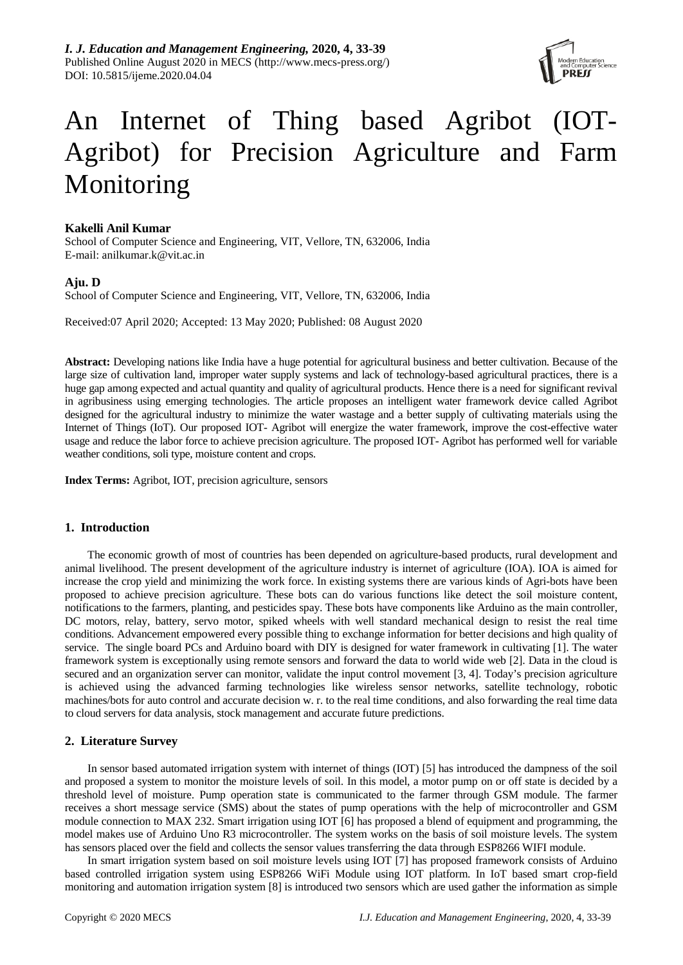

# An Internet of Thing based Agribot (IOT-Agribot) for Precision Agriculture and Farm Monitoring

## **Kakelli Anil Kumar**

School of Computer Science and Engineering, VIT, Vellore, TN, 632006, India E-mail: anilkumar.k@vit.ac.in

## **Aju. D**

School of Computer Science and Engineering, VIT, Vellore, TN, 632006, India

Received:07 April 2020; Accepted: 13 May 2020; Published: 08 August 2020

**Abstract:** Developing nations like India have a huge potential for agricultural business and better cultivation. Because of the large size of cultivation land, improper water supply systems and lack of technology-based agricultural practices, there is a huge gap among expected and actual quantity and quality of agricultural products. Hence there is a need for significant revival in agribusiness using emerging technologies. The article proposes an intelligent water framework device called Agribot designed for the agricultural industry to minimize the water wastage and a better supply of cultivating materials using the Internet of Things (IoT). Our proposed IOT- Agribot will energize the water framework, improve the cost-effective water usage and reduce the labor force to achieve precision agriculture. The proposed IOT- Agribot has performed well for variable weather conditions, soli type, moisture content and crops.

**Index Terms:** Agribot, IOT, precision agriculture, sensors

## **1. Introduction**

The economic growth of most of countries has been depended on agriculture-based products, rural development and animal livelihood. The present development of the agriculture industry is internet of agriculture (IOA). IOA is aimed for increase the crop yield and minimizing the work force. In existing systems there are various kinds of Agri-bots have been proposed to achieve precision agriculture. These bots can do various functions like detect the soil moisture content, notifications to the farmers, planting, and pesticides spay. These bots have components like Arduino as the main controller, DC motors, relay, battery, servo motor, spiked wheels with well standard mechanical design to resist the real time conditions. Advancement empowered every possible thing to exchange information for better decisions and high quality of service. The single board PCs and Arduino board with DIY is designed for water framework in cultivating [1]. The water framework system is exceptionally using remote sensors and forward the data to world wide web [2]. Data in the cloud is secured and an organization server can monitor, validate the input control movement [3, 4]. Today's precision agriculture is achieved using the advanced farming technologies like wireless sensor networks, satellite technology, robotic machines/bots for auto control and accurate decision w. r. to the real time conditions, and also forwarding the real time data to cloud servers for data analysis, stock management and accurate future predictions.

## **2. Literature Survey**

In sensor based automated irrigation system with internet of things (IOT) [5] has introduced the dampness of the soil and proposed a system to monitor the moisture levels of soil. In this model, a motor pump on or off state is decided by a threshold level of moisture. Pump operation state is communicated to the farmer through GSM module. The farmer receives a short message service (SMS) about the states of pump operations with the help of microcontroller and GSM module connection to MAX 232. Smart irrigation using IOT [6] has proposed a blend of equipment and programming, the model makes use of Arduino Uno R3 microcontroller. The system works on the basis of soil moisture levels. The system has sensors placed over the field and collects the sensor values transferring the data through ESP8266 WIFI module.

In smart irrigation system based on soil moisture levels using IOT [7] has proposed framework consists of Arduino based controlled irrigation system using ESP8266 WiFi Module using IOT platform. In IoT based smart crop-field monitoring and automation irrigation system [8] is introduced two sensors which are used gather the information as simple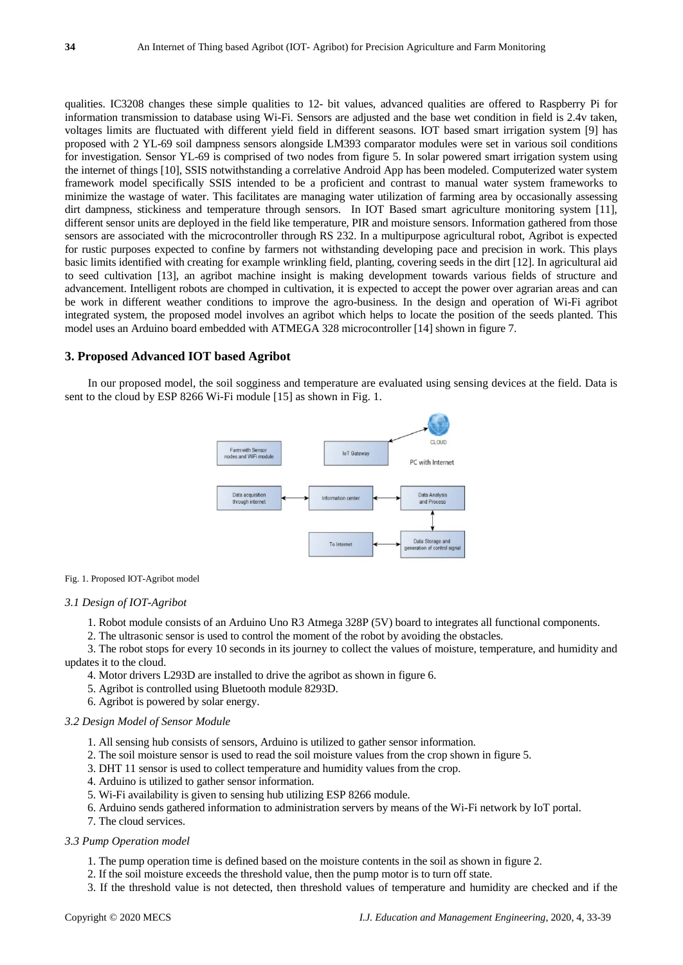qualities. IC3208 changes these simple qualities to 12- bit values, advanced qualities are offered to Raspberry Pi for information transmission to database using Wi-Fi. Sensors are adjusted and the base wet condition in field is 2.4v taken, voltages limits are fluctuated with different yield field in different seasons. IOT based smart irrigation system [9] has proposed with 2 YL-69 soil dampness sensors alongside LM393 comparator modules were set in various soil conditions for investigation. Sensor YL-69 is comprised of two nodes from figure 5. In solar powered smart irrigation system using the internet of things [10], SSIS notwithstanding a correlative Android App has been modeled. Computerized water system framework model specifically SSIS intended to be a proficient and contrast to manual water system frameworks to minimize the wastage of water. This facilitates are managing water utilization of farming area by occasionally assessing dirt dampness, stickiness and temperature through sensors. In IOT Based smart agriculture monitoring system [11], different sensor units are deployed in the field like temperature, PIR and moisture sensors. Information gathered from those sensors are associated with the microcontroller through RS 232. In a multipurpose agricultural robot, Agribot is expected for rustic purposes expected to confine by farmers not withstanding developing pace and precision in work. This plays basic limits identified with creating for example wrinkling field, planting, covering seeds in the dirt [12]. In agricultural aid to seed cultivation [13], an agribot machine insight is making development towards various fields of structure and advancement. Intelligent robots are chomped in cultivation, it is expected to accept the power over agrarian areas and can be work in different weather conditions to improve the agro-business. In the design and operation of Wi-Fi agribot integrated system, the proposed model involves an agribot which helps to locate the position of the seeds planted. This model uses an Arduino board embedded with ATMEGA 328 microcontroller [14] shown in figure 7.

## **3. Proposed Advanced IOT based Agribot**

In our proposed model, the soil sogginess and temperature are evaluated using sensing devices at the field. Data is sent to the cloud by ESP 8266 Wi-Fi module [15] as shown in Fig. 1.



#### Fig. 1. Proposed IOT-Agribot model

#### *3.1 Design of IOT-Agribot*

- 1. Robot module consists of an Arduino Uno R3 Atmega 328P (5V) board to integrates all functional components.
- 2. The ultrasonic sensor is used to control the moment of the robot by avoiding the obstacles.
- 3. The robot stops for every 10 seconds in its journey to collect the values of moisture, temperature, and humidity and updates it to the cloud.
	- 4. Motor drivers L293D are installed to drive the agribot as shown in figure 6.
	- 5. Agribot is controlled using Bluetooth module 8293D.
	- 6. Agribot is powered by solar energy.

#### *3.2 Design Model of Sensor Module*

- 1. All sensing hub consists of sensors, Arduino is utilized to gather sensor information.
- 2. The soil moisture sensor is used to read the soil moisture values from the crop shown in figure 5.
- 3. DHT 11 sensor is used to collect temperature and humidity values from the crop.
- 4. Arduino is utilized to gather sensor information.
- 5. Wi-Fi availability is given to sensing hub utilizing ESP 8266 module.
- 6. Arduino sends gathered information to administration servers by means of the Wi-Fi network by IoT portal.
- 7. The cloud services.

#### *3.3 Pump Operation model*

- 1. The pump operation time is defined based on the moisture contents in the soil as shown in figure 2.
- 2. If the soil moisture exceeds the threshold value, then the pump motor is to turn off state.
- 3. If the threshold value is not detected, then threshold values of temperature and humidity are checked and if the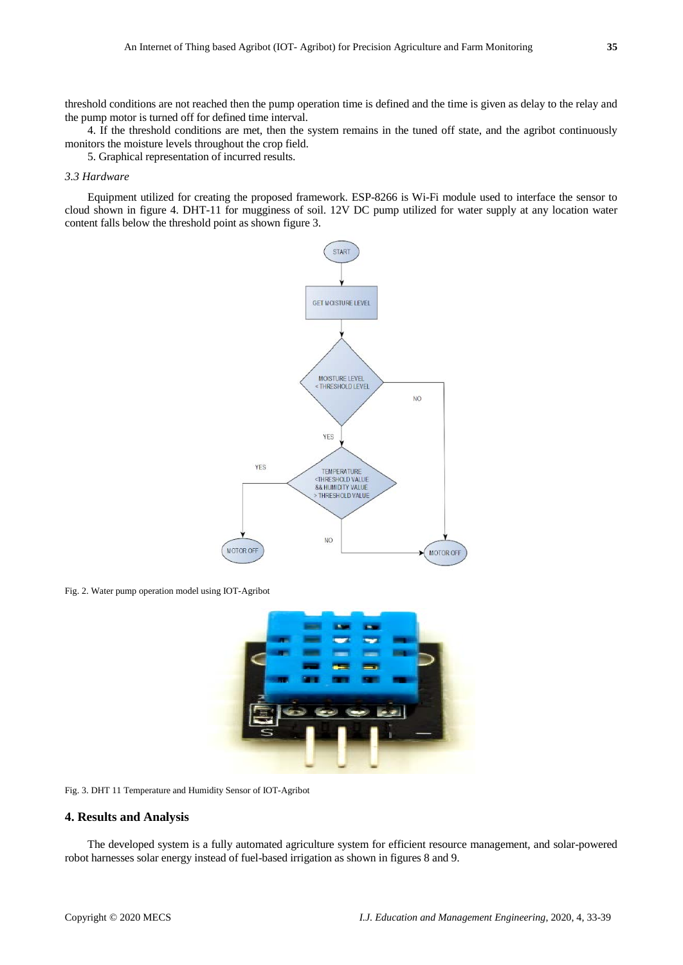threshold conditions are not reached then the pump operation time is defined and the time is given as delay to the relay and the pump motor is turned off for defined time interval.

4. If the threshold conditions are met, then the system remains in the tuned off state, and the agribot continuously monitors the moisture levels throughout the crop field.

5. Graphical representation of incurred results.

#### *3.3 Hardware*

Equipment utilized for creating the proposed framework. ESP-8266 is Wi-Fi module used to interface the sensor to cloud shown in figure 4. DHT-11 for mugginess of soil. 12V DC pump utilized for water supply at any location water content falls below the threshold point as shown figure 3.



Fig. 2. Water pump operation model using IOT-Agribot



Fig. 3. DHT 11 Temperature and Humidity Sensor of IOT-Agribot

### **4. Results and Analysis**

The developed system is a fully automated agriculture system for efficient resource management, and solar-powered robot harnesses solar energy instead of fuel-based irrigation as shown in figures 8 and 9.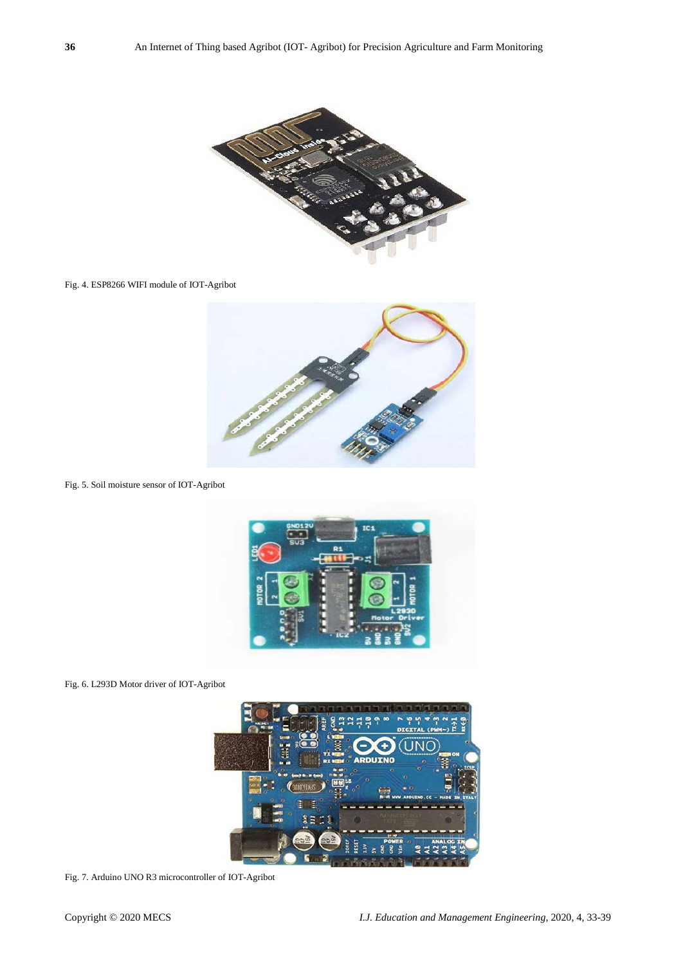

Fig. 4. ESP8266 WIFI module of IOT-Agribot



Fig. 5. Soil moisture sensor of IOT-Agribot



Fig. 6. L293D Motor driver of IOT-Agribot



Fig. 7. Arduino UNO R3 microcontroller of IOT-Agribot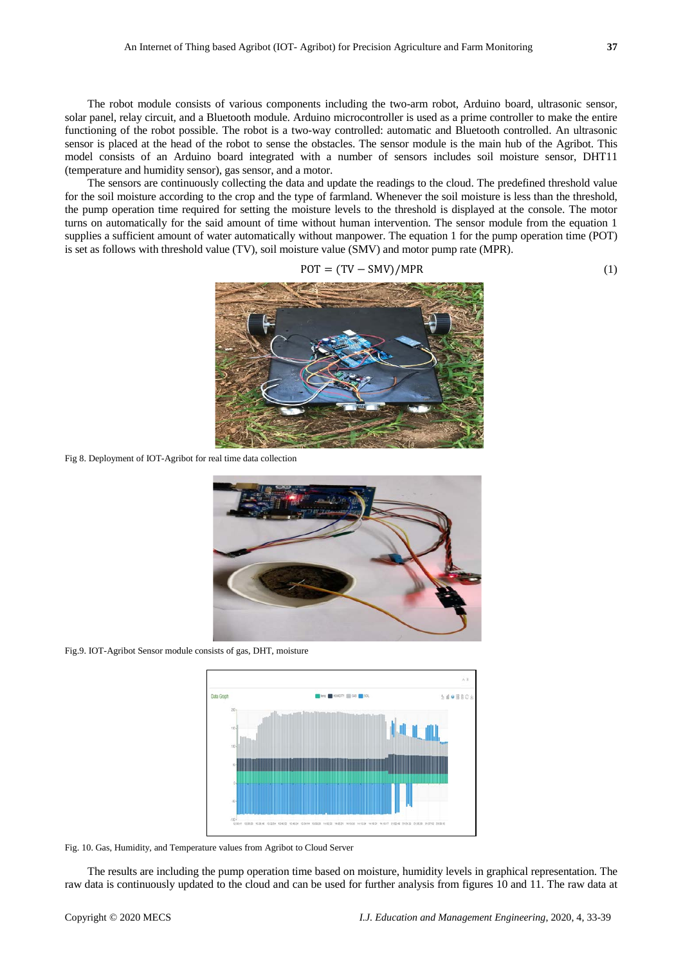The robot module consists of various components including the two-arm robot, Arduino board, ultrasonic sensor, solar panel, relay circuit, and a Bluetooth module. Arduino microcontroller is used as a prime controller to make the entire functioning of the robot possible. The robot is a two-way controlled: automatic and Bluetooth controlled. An ultrasonic sensor is placed at the head of the robot to sense the obstacles. The sensor module is the main hub of the Agribot. This model consists of an Arduino board integrated with a number of sensors includes soil moisture sensor, DHT11 (temperature and humidity sensor), gas sensor, and a motor.

The sensors are continuously collecting the data and update the readings to the cloud. The predefined threshold value for the soil moisture according to the crop and the type of farmland. Whenever the soil moisture is less than the threshold, the pump operation time required for setting the moisture levels to the threshold is displayed at the console. The motor turns on automatically for the said amount of time without human intervention. The sensor module from the equation 1 supplies a sufficient amount of water automatically without manpower. The equation 1 for the pump operation time (POT) is set as follows with threshold value (TV), soil moisture value (SMV) and motor pump rate (MPR).

$$
POT = (TV - SMV)/MPR
$$
 (1)

Fig 8. Deployment of IOT-Agribot for real time data collection



Fig.9. IOT-Agribot Sensor module consists of gas, DHT, moisture



Fig. 10. Gas, Humidity, and Temperature values from Agribot to Cloud Server

The results are including the pump operation time based on moisture, humidity levels in graphical representation. The raw data is continuously updated to the cloud and can be used for further analysis from figures 10 and 11. The raw data at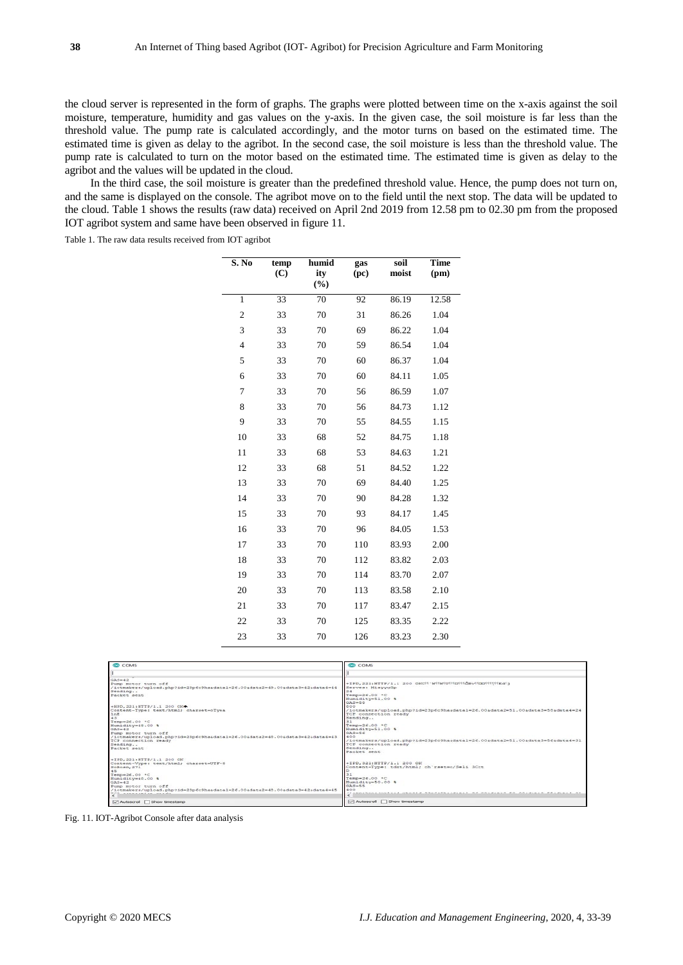the cloud server is represented in the form of graphs. The graphs were plotted between time on the x-axis against the soil moisture, temperature, humidity and gas values on the y-axis. In the given case, the soil moisture is far less than the threshold value. The pump rate is calculated accordingly, and the motor turns on based on the estimated time. The estimated time is given as delay to the agribot. In the second case, the soil moisture is less than the threshold value. The pump rate is calculated to turn on the motor based on the estimated time. The estimated time is given as delay to the agribot and the values will be updated in the cloud.

In the third case, the soil moisture is greater than the predefined threshold value. Hence, the pump does not turn on, and the same is displayed on the console. The agribot move on to the field until the next stop. The data will be updated to the cloud. Table 1 shows the results (raw data) received on April 2nd 2019 from 12.58 pm to 02.30 pm from the proposed IOT agribot system and same have been observed in figure 11.

Table 1. The raw data results received from IOT agribot

| S. No          | temp<br>(C) | humid<br>ity<br>(%) | gas<br>(pc) | soil<br>moist | Time<br>(pm) |
|----------------|-------------|---------------------|-------------|---------------|--------------|
| $\mathbf{1}$   | 33          | 70                  | 92          | 86.19         | 12.58        |
| $\overline{c}$ | 33          | 70                  | 31          | 86.26         | 1.04         |
| 3              | 33          | 70                  | 69          | 86.22         | 1.04         |
| $\overline{4}$ | 33          | 70                  | 59          | 86.54         | 1.04         |
| 5              | 33          | 70                  | 60          | 86.37         | 1.04         |
| 6              | 33          | 70                  | 60          | 84.11         | 1.05         |
| 7              | 33          | 70                  | 56          | 86.59         | 1.07         |
| 8              | 33          | 70                  | 56          | 84.73         | 1.12         |
| 9              | 33          | 70                  | 55          | 84.55         | 1.15         |
| 10             | 33          | 68                  | 52          | 84.75         | 1.18         |
| 11             | 33          | 68                  | 53          | 84.63         | 1.21         |
| 12             | 33          | 68                  | 51          | 84.52         | 1.22         |
| 13             | 33          | 70                  | 69          | 84.40         | 1.25         |
| 14             | 33          | 70                  | 90          | 84.28         | 1.32         |
| 15             | 33          | 70                  | 93          | 84.17         | 1.45         |
| 16             | 33          | 70                  | 96          | 84.05         | 1.53         |
| 17             | 33          | 70                  | 110         | 83.93         | 2.00         |
| 18             | 33          | 70                  | 112         | 83.82         | 2.03         |
| 19             | 33          | 70                  | 114         | 83.70         | 2.07         |
| 20             | 33          | 70                  | 113         | 83.58         | 2.10         |
| 21             | 33          | 70                  | 117         | 83.47         | 2.15         |
| 22             | 33          | 70                  | 125         | 83.35         | 2.22         |
| 23             | 33          | 70                  | 126         | 83.23         | 2.30         |

| <b>COMS</b>                                                                 | <b>COMS</b>                                                                 |
|-----------------------------------------------------------------------------|-----------------------------------------------------------------------------|
|                                                                             |                                                                             |
| $GAS=42$                                                                    |                                                                             |
| Pump motor turn off                                                         | +IPD.221:HTTP/1.1 200 OKCYY'WYWYUYYOYYÖBvYYOOYYYYYEdYj                      |
| /iotmakers/upload.php?id=23p6c9hasdatal=26.00sdata2=49.00sdata3=42sdata4=44 | Serves: MisyvuGp                                                            |
| Sending                                                                     | 24                                                                          |
| Packet sent                                                                 | Temp=26.00 °C                                                               |
|                                                                             | Humidity=51.00 %                                                            |
|                                                                             | $GAS = 58$                                                                  |
| +HPD.221:HTTP/1.1 200 OK*                                                   | noo                                                                         |
| Content-Type: text/html; charget=oTyea                                      | /iotmakers/upload.php?id=23p6c9hasdatai=26.00sdata2=51.00sdata3=58sdata4=24 |
| 2nE                                                                         | TCP connection ready                                                        |
| 43<br>Temp=26.00 *C                                                         | Sending<br>21                                                               |
|                                                                             | Temp=26.00 °C                                                               |
| Humidity-48.00 %<br>$GAN = 42$                                              | Humidity-51.00 %                                                            |
| Pump motor turn off                                                         | $GAS = S6$                                                                  |
| /iotmakers/upload.php?id=23p6c9hasdatal=26.00sdata2=48.00sdata3=42sdata4=43 | 400                                                                         |
| TCP connection ready                                                        | /iotmakers/upload.php?id=23p6c9hasdatal=26.00sdata2=51.00sdata3=56sdata4=31 |
| Sending                                                                     | TCP connection ready                                                        |
| Packet sent                                                                 | Sending                                                                     |
|                                                                             | Packer, sent.                                                               |
| +IPD.221:HTTP/1.1 200 OK                                                    |                                                                             |
| Content-Vype: text/html: charset=UTF-8                                      | +IPD.321:HTTP/1.1 200 OK                                                    |
| SoBosn, 271                                                                 | Content-Type: tdxt/html; ch'rset=o/Seli 3Cct                                |
| 45                                                                          |                                                                             |
| Temp=26.00 °C                                                               |                                                                             |
| Humidity-48.00 %                                                            | Temp=26.00 °C                                                               |
| $GBS = 42$                                                                  | Humidity-50.00 %                                                            |
| Pump motor turn off                                                         | $GAS = 55$                                                                  |
| /iotmakers/upload.php?id=23p6c9hasdatal=26.00sdata2=48.00sdata3=42sdata4=45 | 400<br>and d. The father advance. The characters                            |
| Worth a proposal and sign computers<br>$\epsilon$                           | $\epsilon$                                                                  |
| Autoscroll Show timestamp                                                   | Autoscroll Show timestamp                                                   |

Fig. 11. IOT-Agribot Console after data analysis